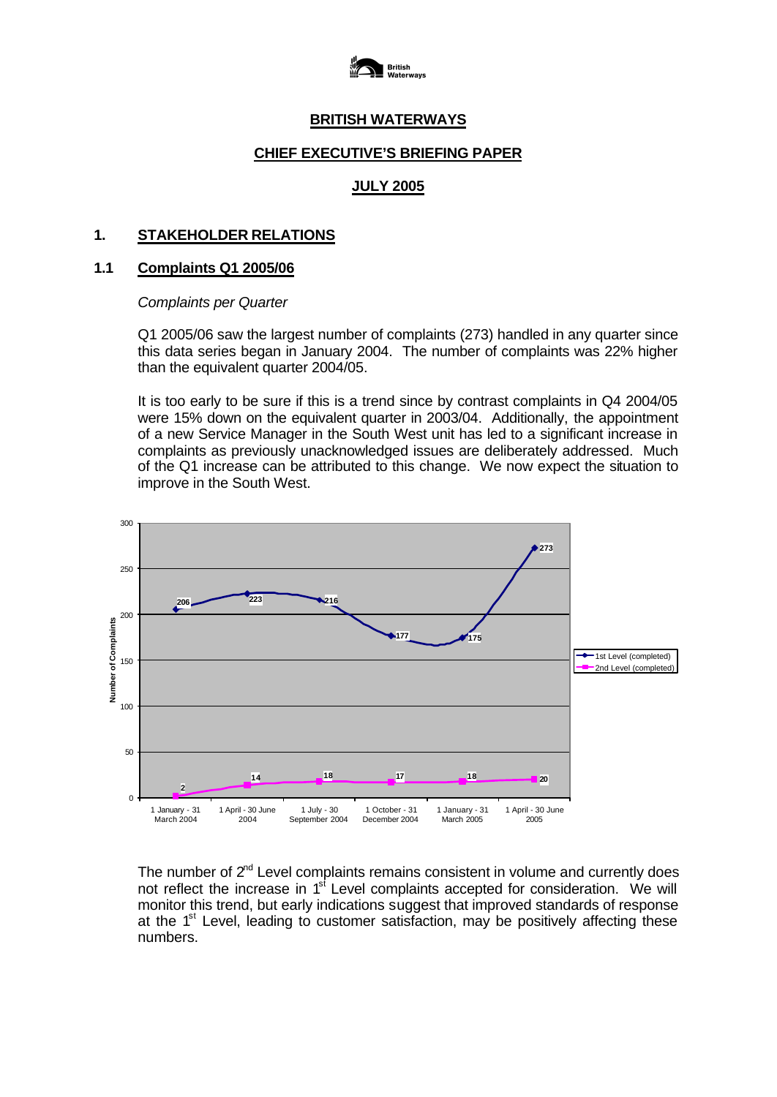

# **BRITISH WATERWAYS**

# **CHIEF EXECUTIVE'S BRIEFING PAPER**

### **JULY 2005**

#### **1. STAKEHOLDER RELATIONS**

#### **1.1 Complaints Q1 2005/06**

#### *Complaints per Quarter*

Q1 2005/06 saw the largest number of complaints (273) handled in any quarter since this data series began in January 2004. The number of complaints was 22% higher than the equivalent quarter 2004/05.

It is too early to be sure if this is a trend since by contrast complaints in Q4 2004/05 were 15% down on the equivalent quarter in 2003/04. Additionally, the appointment of a new Service Manager in the South West unit has led to a significant increase in complaints as previously unacknowledged issues are deliberately addressed. Much of the Q1 increase can be attributed to this change. We now expect the situation to improve in the South West.



The number of  $2<sup>nd</sup>$  Level complaints remains consistent in volume and currently does not reflect the increase in  $1<sup>st</sup>$  Level complaints accepted for consideration. We will monitor this trend, but early indications suggest that improved standards of response at the  $1<sup>st</sup>$  Level, leading to customer satisfaction, may be positively affecting these numbers.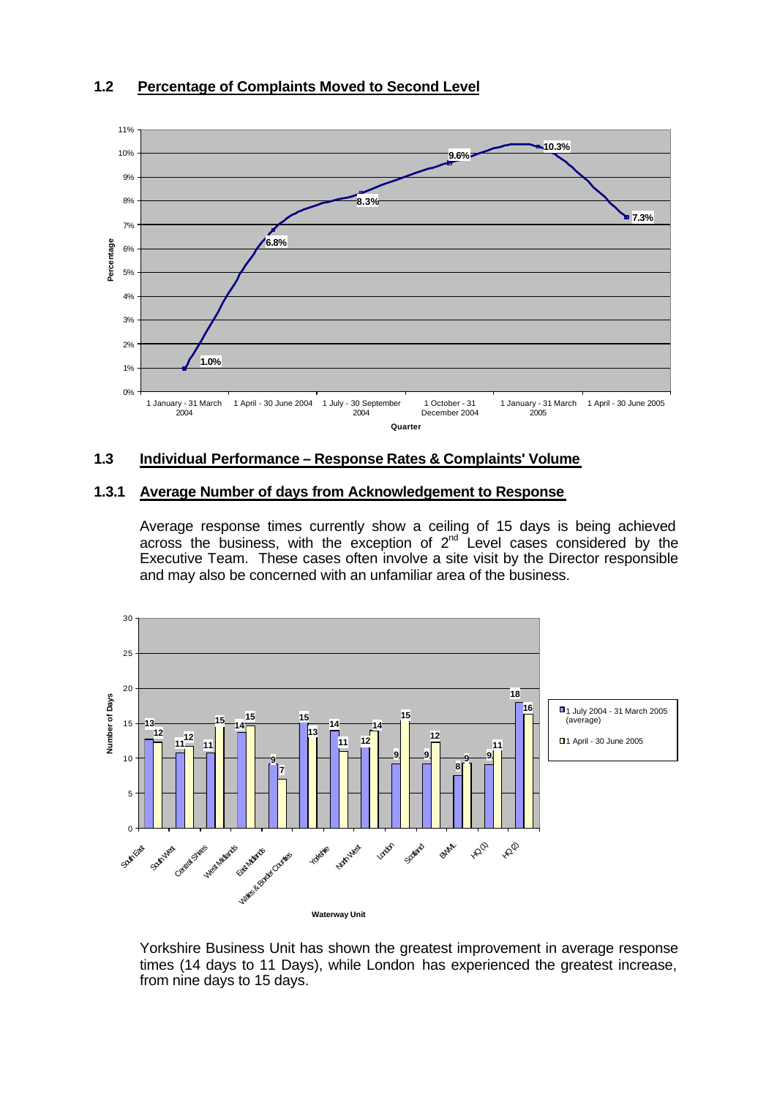## **1.2 Percentage of Complaints Moved to Second Level**



### **1.3 Individual Performance – Response Rates & Complaints' Volume**

#### **1.3.1 Average Number of days from Acknowledgement to Response**

Average response times currently show a ceiling of 15 days is being achieved across the business, with the exception of  $2<sup>nd</sup>$  Level cases considered by the Executive Team. These cases often involve a site visit by the Director responsible and may also be concerned with an unfamiliar area of the business.



Yorkshire Business Unit has shown the greatest improvement in average response times (14 days to 11 Days), while London has experienced the greatest increase, from nine days to 15 days.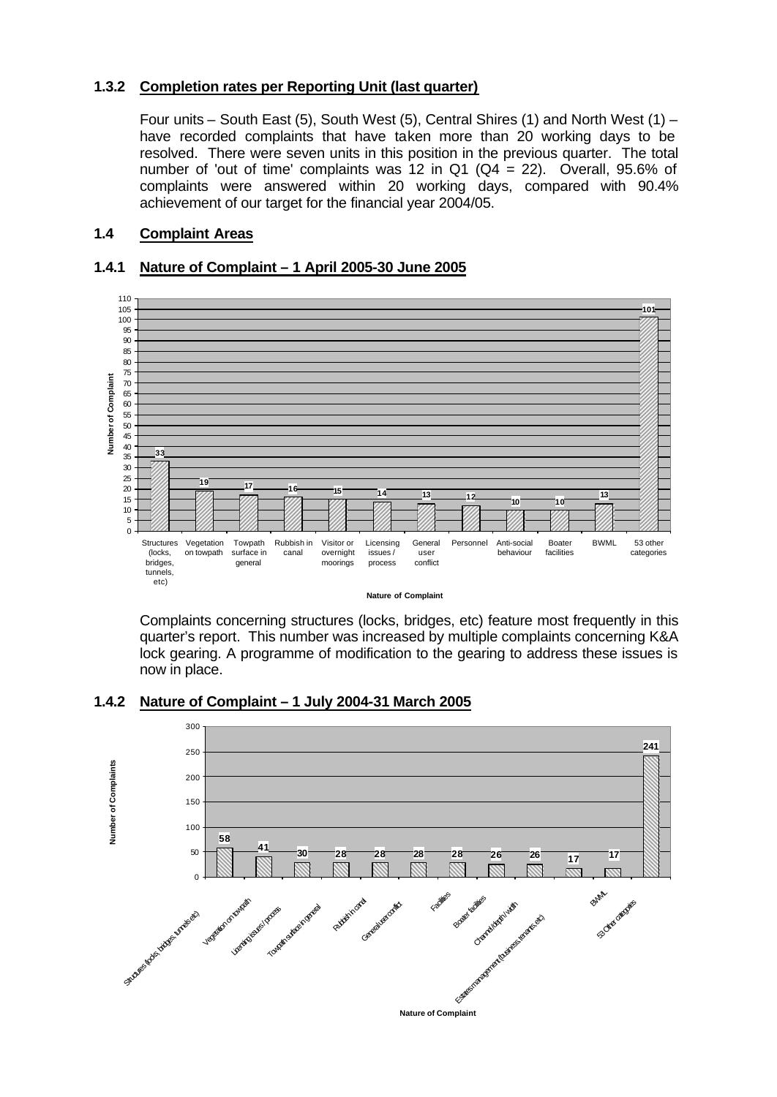### **1.3.2 Completion rates per Reporting Unit (last quarter)**

Four units – South East (5), South West (5), Central Shires (1) and North West (1) – have recorded complaints that have taken more than 20 working days to be resolved. There were seven units in this position in the previous quarter. The total number of 'out of time' complaints was 12 in Q1 ( $Q4 = 22$ ). Overall, 95.6% of complaints were answered within 20 working days, compared with 90.4% achievement of our target for the financial year 2004/05.

# **1.4 Complaint Areas**

# **1.4.1 Nature of Complaint – 1 April 2005-30 June 2005**



**Nature of Complaint**

Complaints concerning structures (locks, bridges, etc) feature most frequently in this quarter's report. This number was increased by multiple complaints concerning K&A lock gearing. A programme of modification to the gearing to address these issues is now in place.

### **1.4.2 Nature of Complaint – 1 July 2004-31 March 2005**

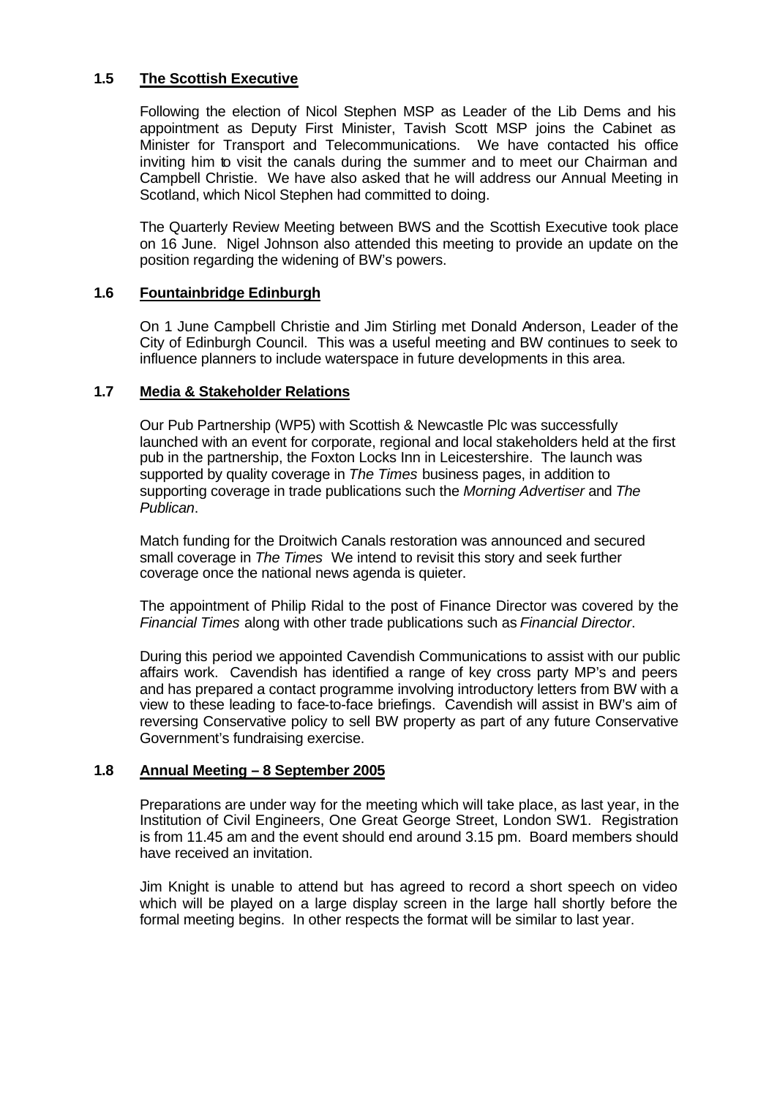# **1.5 The Scottish Executive**

Following the election of Nicol Stephen MSP as Leader of the Lib Dems and his appointment as Deputy First Minister, Tavish Scott MSP joins the Cabinet as Minister for Transport and Telecommunications. We have contacted his office inviting him to visit the canals during the summer and to meet our Chairman and Campbell Christie. We have also asked that he will address our Annual Meeting in Scotland, which Nicol Stephen had committed to doing.

The Quarterly Review Meeting between BWS and the Scottish Executive took place on 16 June. Nigel Johnson also attended this meeting to provide an update on the position regarding the widening of BW's powers.

#### **1.6 Fountainbridge Edinburgh**

On 1 June Campbell Christie and Jim Stirling met Donald Anderson, Leader of the City of Edinburgh Council. This was a useful meeting and BW continues to seek to influence planners to include waterspace in future developments in this area.

#### **1.7 Media & Stakeholder Relations**

Our Pub Partnership (WP5) with Scottish & Newcastle Plc was successfully launched with an event for corporate, regional and local stakeholders held at the first pub in the partnership, the Foxton Locks Inn in Leicestershire. The launch was supported by quality coverage in *The Times* business pages, in addition to supporting coverage in trade publications such the *Morning Advertiser* and *The Publican*.

Match funding for the Droitwich Canals restoration was announced and secured small coverage in *The Times* We intend to revisit this story and seek further coverage once the national news agenda is quieter.

The appointment of Philip Ridal to the post of Finance Director was covered by the *Financial Times* along with other trade publications such as *Financial Director*.

During this period we appointed Cavendish Communications to assist with our public affairs work. Cavendish has identified a range of key cross party MP's and peers and has prepared a contact programme involving introductory letters from BW with a view to these leading to face-to-face briefings. Cavendish will assist in BW's aim of reversing Conservative policy to sell BW property as part of any future Conservative Government's fundraising exercise.

### **1.8 Annual Meeting – 8 September 2005**

Preparations are under way for the meeting which will take place, as last year, in the Institution of Civil Engineers, One Great George Street, London SW1. Registration is from 11.45 am and the event should end around 3.15 pm. Board members should have received an invitation.

Jim Knight is unable to attend but has agreed to record a short speech on video which will be played on a large display screen in the large hall shortly before the formal meeting begins. In other respects the format will be similar to last year.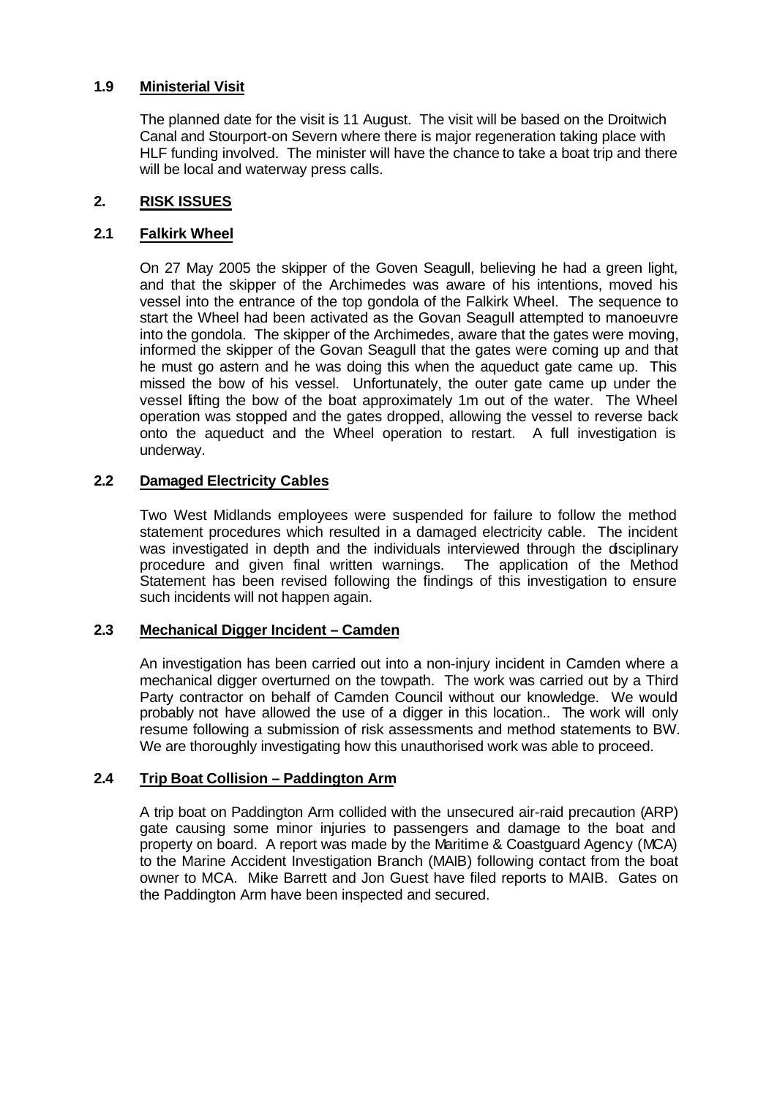### **1.9 Ministerial Visit**

The planned date for the visit is 11 August. The visit will be based on the Droitwich Canal and Stourport-on Severn where there is major regeneration taking place with HLF funding involved. The minister will have the chance to take a boat trip and there will be local and waterway press calls.

# **2. RISK ISSUES**

### **2.1 Falkirk Wheel**

On 27 May 2005 the skipper of the Goven Seagull, believing he had a green light, and that the skipper of the Archimedes was aware of his intentions, moved his vessel into the entrance of the top gondola of the Falkirk Wheel. The sequence to start the Wheel had been activated as the Govan Seagull attempted to manoeuvre into the gondola. The skipper of the Archimedes, aware that the gates were moving, informed the skipper of the Govan Seagull that the gates were coming up and that he must go astern and he was doing this when the aqueduct gate came up. This missed the bow of his vessel. Unfortunately, the outer gate came up under the vessel lifting the bow of the boat approximately 1m out of the water. The Wheel operation was stopped and the gates dropped, allowing the vessel to reverse back onto the aqueduct and the Wheel operation to restart. A full investigation is underway.

### **2.2 Damaged Electricity Cables**

Two West Midlands employees were suspended for failure to follow the method statement procedures which resulted in a damaged electricity cable. The incident was investigated in depth and the individuals interviewed through the disciplinary procedure and given final written warnings. The application of the Method Statement has been revised following the findings of this investigation to ensure such incidents will not happen again.

### **2.3 Mechanical Digger Incident – Camden**

An investigation has been carried out into a non-injury incident in Camden where a mechanical digger overturned on the towpath. The work was carried out by a Third Party contractor on behalf of Camden Council without our knowledge. We would probably not have allowed the use of a digger in this location.. The work will only resume following a submission of risk assessments and method statements to BW. We are thoroughly investigating how this unauthorised work was able to proceed.

### **2.4 Trip Boat Collision – Paddington Arm**

A trip boat on Paddington Arm collided with the unsecured air-raid precaution (ARP) gate causing some minor injuries to passengers and damage to the boat and property on board. A report was made by the Maritime & Coastguard Agency (MCA) to the Marine Accident Investigation Branch (MAIB) following contact from the boat owner to MCA. Mike Barrett and Jon Guest have filed reports to MAIB. Gates on the Paddington Arm have been inspected and secured.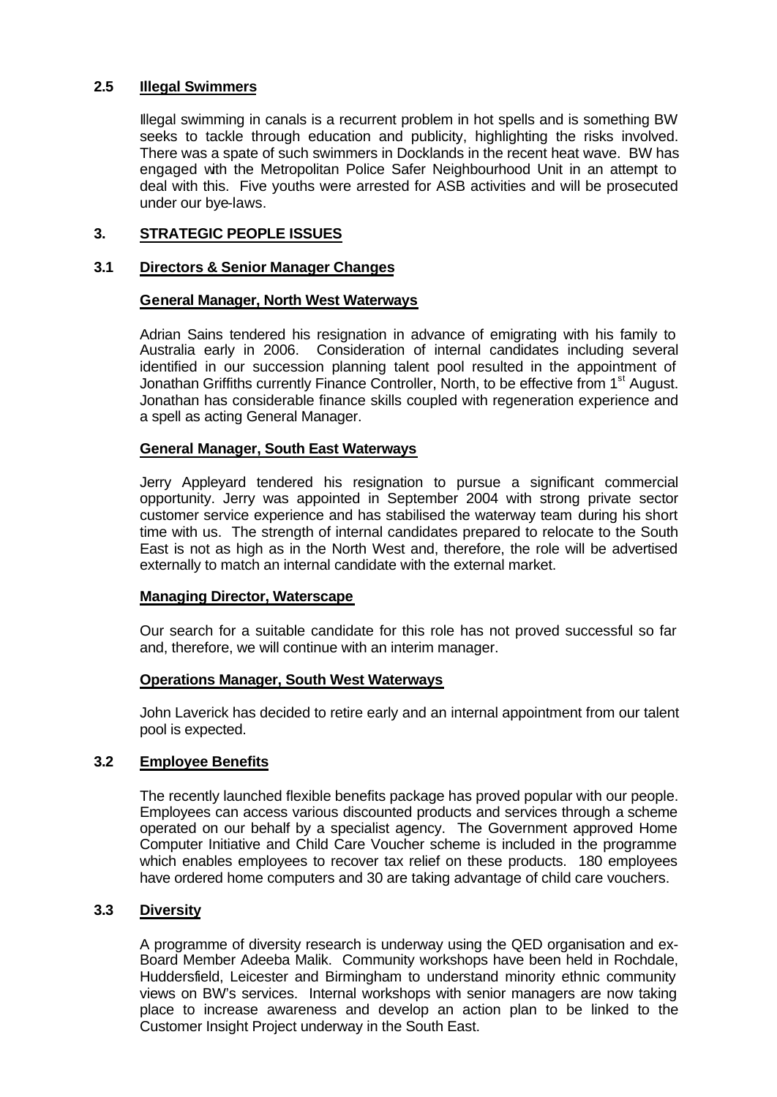### **2.5 Illegal Swimmers**

Illegal swimming in canals is a recurrent problem in hot spells and is something BW seeks to tackle through education and publicity, highlighting the risks involved. There was a spate of such swimmers in Docklands in the recent heat wave. BW has engaged with the Metropolitan Police Safer Neighbourhood Unit in an attempt to deal with this. Five youths were arrested for ASB activities and will be prosecuted under our bye-laws.

# **3. STRATEGIC PEOPLE ISSUES**

### **3.1 Directors & Senior Manager Changes**

### **General Manager, North West Waterways**

Adrian Sains tendered his resignation in advance of emigrating with his family to Australia early in 2006. Consideration of internal candidates including several identified in our succession planning talent pool resulted in the appointment of Jonathan Griffiths currently Finance Controller, North, to be effective from 1<sup>st</sup> August. Jonathan has considerable finance skills coupled with regeneration experience and a spell as acting General Manager.

### **General Manager, South East Waterways**

Jerry Appleyard tendered his resignation to pursue a significant commercial opportunity. Jerry was appointed in September 2004 with strong private sector customer service experience and has stabilised the waterway team during his short time with us. The strength of internal candidates prepared to relocate to the South East is not as high as in the North West and, therefore, the role will be advertised externally to match an internal candidate with the external market.

#### **Managing Director, Waterscape**

Our search for a suitable candidate for this role has not proved successful so far and, therefore, we will continue with an interim manager.

### **Operations Manager, South West Waterways**

John Laverick has decided to retire early and an internal appointment from our talent pool is expected.

## **3.2 Employee Benefits**

The recently launched flexible benefits package has proved popular with our people. Employees can access various discounted products and services through a scheme operated on our behalf by a specialist agency. The Government approved Home Computer Initiative and Child Care Voucher scheme is included in the programme which enables employees to recover tax relief on these products. 180 employees have ordered home computers and 30 are taking advantage of child care vouchers.

### **3.3 Diversity**

A programme of diversity research is underway using the QED organisation and ex-Board Member Adeeba Malik. Community workshops have been held in Rochdale, Huddersfield, Leicester and Birmingham to understand minority ethnic community views on BW's services. Internal workshops with senior managers are now taking place to increase awareness and develop an action plan to be linked to the Customer Insight Project underway in the South East.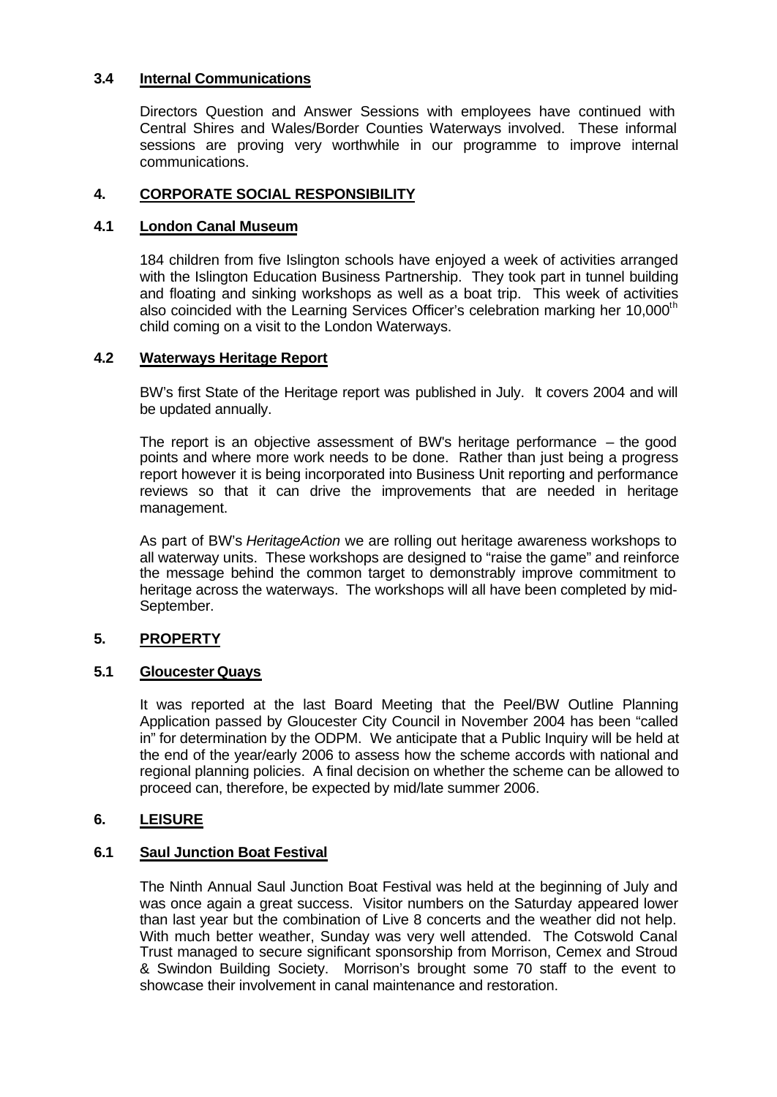# **3.4 Internal Communications**

Directors Question and Answer Sessions with employees have continued with Central Shires and Wales/Border Counties Waterways involved. These informal sessions are proving very worthwhile in our programme to improve internal communications.

### **4. CORPORATE SOCIAL RESPONSIBILITY**

#### **4.1 London Canal Museum**

184 children from five Islington schools have enjoyed a week of activities arranged with the Islington Education Business Partnership. They took part in tunnel building and floating and sinking workshops as well as a boat trip. This week of activities also coincided with the Learning Services Officer's celebration marking her 10,000<sup>th</sup> child coming on a visit to the London Waterways.

#### **4.2 Waterways Heritage Report**

BW's first State of the Heritage report was published in July. It covers 2004 and will be updated annually.

The report is an objective assessment of BW's heritage performance – the good points and where more work needs to be done. Rather than just being a progress report however it is being incorporated into Business Unit reporting and performance reviews so that it can drive the improvements that are needed in heritage management.

As part of BW's *HeritageAction* we are rolling out heritage awareness workshops to all waterway units. These workshops are designed to "raise the game" and reinforce the message behind the common target to demonstrably improve commitment to heritage across the waterways. The workshops will all have been completed by mid-September.

### **5. PROPERTY**

### **5.1 Gloucester Quays**

It was reported at the last Board Meeting that the Peel/BW Outline Planning Application passed by Gloucester City Council in November 2004 has been "called in" for determination by the ODPM. We anticipate that a Public Inquiry will be held at the end of the year/early 2006 to assess how the scheme accords with national and regional planning policies. A final decision on whether the scheme can be allowed to proceed can, therefore, be expected by mid/late summer 2006.

### **6. LEISURE**

### **6.1 Saul Junction Boat Festival**

The Ninth Annual Saul Junction Boat Festival was held at the beginning of July and was once again a great success. Visitor numbers on the Saturday appeared lower than last year but the combination of Live 8 concerts and the weather did not help. With much better weather, Sunday was very well attended. The Cotswold Canal Trust managed to secure significant sponsorship from Morrison, Cemex and Stroud & Swindon Building Society. Morrison's brought some 70 staff to the event to showcase their involvement in canal maintenance and restoration.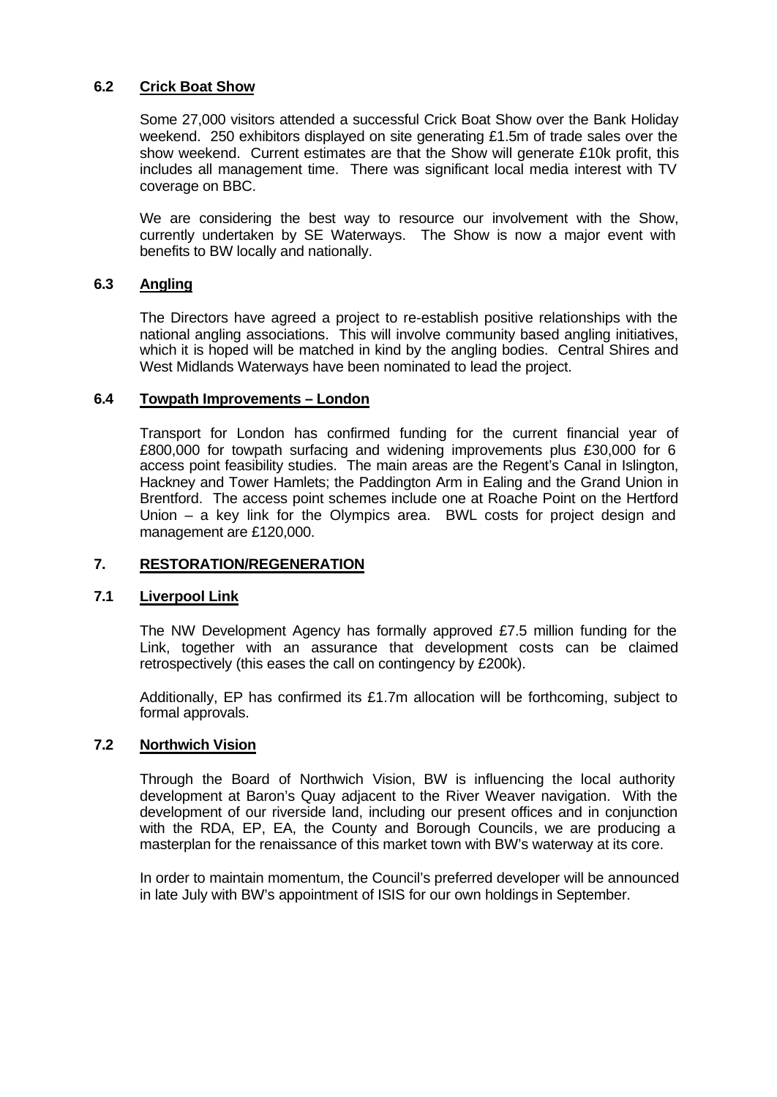#### **6.2 Crick Boat Show**

Some 27,000 visitors attended a successful Crick Boat Show over the Bank Holiday weekend. 250 exhibitors displayed on site generating £1.5m of trade sales over the show weekend. Current estimates are that the Show will generate £10k profit, this includes all management time. There was significant local media interest with TV coverage on BBC.

We are considering the best way to resource our involvement with the Show, currently undertaken by SE Waterways. The Show is now a major event with benefits to BW locally and nationally.

## **6.3 Angling**

The Directors have agreed a project to re-establish positive relationships with the national angling associations. This will involve community based angling initiatives, which it is hoped will be matched in kind by the angling bodies. Central Shires and West Midlands Waterways have been nominated to lead the project.

#### **6.4 Towpath Improvements – London**

Transport for London has confirmed funding for the current financial year of £800,000 for towpath surfacing and widening improvements plus £30,000 for 6 access point feasibility studies. The main areas are the Regent's Canal in Islington, Hackney and Tower Hamlets; the Paddington Arm in Ealing and the Grand Union in Brentford. The access point schemes include one at Roache Point on the Hertford Union – a key link for the Olympics area. BWL costs for project design and management are £120,000.

### **7. RESTORATION/REGENERATION**

#### **7.1 Liverpool Link**

The NW Development Agency has formally approved £7.5 million funding for the Link, together with an assurance that development costs can be claimed retrospectively (this eases the call on contingency by £200k).

Additionally, EP has confirmed its £1.7m allocation will be forthcoming, subject to formal approvals.

#### **7.2 Northwich Vision**

Through the Board of Northwich Vision, BW is influencing the local authority development at Baron's Quay adjacent to the River Weaver navigation. With the development of our riverside land, including our present offices and in conjunction with the RDA, EP, EA, the County and Borough Councils, we are producing a masterplan for the renaissance of this market town with BW's waterway at its core.

In order to maintain momentum, the Council's preferred developer will be announced in late July with BW's appointment of ISIS for our own holdings in September.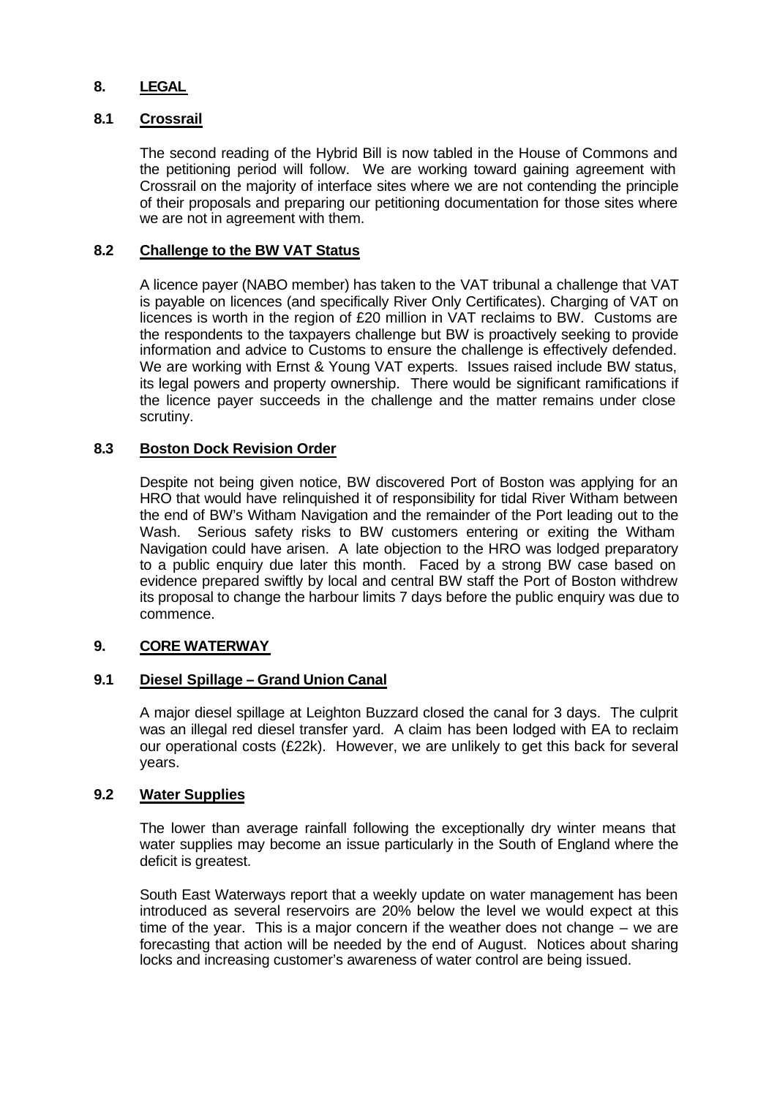# **8. LEGAL**

## **8.1 Crossrail**

The second reading of the Hybrid Bill is now tabled in the House of Commons and the petitioning period will follow. We are working toward gaining agreement with Crossrail on the majority of interface sites where we are not contending the principle of their proposals and preparing our petitioning documentation for those sites where we are not in agreement with them.

### **8.2 Challenge to the BW VAT Status**

A licence payer (NABO member) has taken to the VAT tribunal a challenge that VAT is payable on licences (and specifically River Only Certificates). Charging of VAT on licences is worth in the region of £20 million in VAT reclaims to BW. Customs are the respondents to the taxpayers challenge but BW is proactively seeking to provide information and advice to Customs to ensure the challenge is effectively defended. We are working with Ernst & Young VAT experts. Issues raised include BW status, its legal powers and property ownership. There would be significant ramifications if the licence payer succeeds in the challenge and the matter remains under close scrutiny.

## **8.3 Boston Dock Revision Order**

Despite not being given notice, BW discovered Port of Boston was applying for an HRO that would have relinquished it of responsibility for tidal River Witham between the end of BW's Witham Navigation and the remainder of the Port leading out to the Wash. Serious safety risks to BW customers entering or exiting the Witham Navigation could have arisen. A late objection to the HRO was lodged preparatory to a public enquiry due later this month. Faced by a strong BW case based on evidence prepared swiftly by local and central BW staff the Port of Boston withdrew its proposal to change the harbour limits 7 days before the public enquiry was due to commence.

### **9. CORE WATERWAY**

### **9.1 Diesel Spillage – Grand Union Canal**

A major diesel spillage at Leighton Buzzard closed the canal for 3 days. The culprit was an illegal red diesel transfer yard. A claim has been lodged with EA to reclaim our operational costs (£22k). However, we are unlikely to get this back for several years.

## **9.2 Water Supplies**

The lower than average rainfall following the exceptionally dry winter means that water supplies may become an issue particularly in the South of England where the deficit is greatest.

South East Waterways report that a weekly update on water management has been introduced as several reservoirs are 20% below the level we would expect at this time of the year. This is a major concern if the weather does not change – we are forecasting that action will be needed by the end of August. Notices about sharing locks and increasing customer's awareness of water control are being issued.